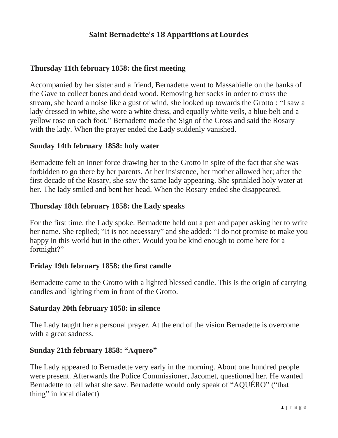## **Saint Bernadette's 18 Apparitions at Lourdes**

#### **Thursday 11th february 1858: the first meeting**

Accompanied by her sister and a friend, Bernadette went to Massabielle on the banks of the Gave to collect bones and dead wood. Removing her socks in order to cross the stream, she heard a noise like a gust of wind, she looked up towards the Grotto : "I saw a lady dressed in white, she wore a white dress, and equally white veils, a blue belt and a yellow rose on each foot." Bernadette made the Sign of the Cross and said the Rosary with the lady. When the prayer ended the Lady suddenly vanished.

#### **Sunday 14th february 1858: holy water**

Bernadette felt an inner force drawing her to the Grotto in spite of the fact that she was forbidden to go there by her parents. At her insistence, her mother allowed her; after the first decade of the Rosary, she saw the same lady appearing. She sprinkled holy water at her. The lady smiled and bent her head. When the Rosary ended she disappeared.

#### **Thursday 18th february 1858: the Lady speaks**

For the first time, the Lady spoke. Bernadette held out a pen and paper asking her to write her name. She replied; "It is not necessary" and she added: "I do not promise to make you happy in this world but in the other. Would you be kind enough to come here for a fortnight?"

#### **Friday 19th february 1858: the first candle**

Bernadette came to the Grotto with a lighted blessed candle. This is the origin of carrying candles and lighting them in front of the Grotto.

#### **Saturday 20th february 1858: in silence**

The Lady taught her a personal prayer. At the end of the vision Bernadette is overcome with a great sadness.

#### **Sunday 21th february 1858: "Aquero"**

The Lady appeared to Bernadette very early in the morning. About one hundred people were present. Afterwards the Police Commissioner, Jacomet, questioned her. He wanted Bernadette to tell what she saw. Bernadette would only speak of "AQUÉRO" ("that thing" in local dialect)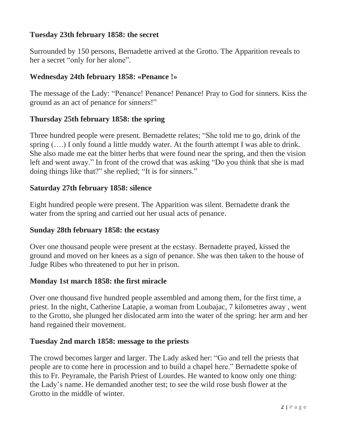# **Tuesday 23th february 1858: the secret**

Surrounded by 150 persons, Bernadette arrived at the Grotto. The Apparition reveals to her a secret "only for her alone".

### **Wednesday 24th february 1858: «Penance !»**

The message of the Lady: "Penance! Penance! Penance! Pray to God for sinners. Kiss the ground as an act of penance for sinners!"

#### **Thursday 25th february 1858: the spring**

Three hundred people were present. Bernadette relates; "She told me to go, drink of the spring  $(...)$  I only found a little muddy water. At the fourth attempt I was able to drink. She also made me eat the bitter herbs that were found near the spring, and then the vision left and went away." In front of the crowd that was asking "Do you think that she is mad doing things like that?" she replied; "It is for sinners."

#### **Saturday 27th february 1858: silence**

Eight hundred people were present. The Apparition was silent. Bernadette drank the water from the spring and carried out her usual acts of penance.

#### **Sunday 28th february 1858: the ecstasy**

Over one thousand people were present at the ecstasy. Bernadette prayed, kissed the ground and moved on her knees as a sign of penance. She was then taken to the house of Judge Ribes who threatened to put her in prison.

#### **Monday 1st march 1858: the first miracle**

Over one thousand five hundred people assembled and among them, for the first time, a priest. In the night, Catherine Latapie, a woman from Loubajac, 7 kilometres away , went to the Grotto, she plunged her dislocated arm into the water of the spring: her arm and her hand regained their movement.

#### **Tuesday 2nd march 1858: message to the priests**

The crowd becomes larger and larger. The Lady asked her: "Go and tell the priests that people are to come here in procession and to build a chapel here." Bernadette spoke of this to Fr. Peyramale, the Parish Priest of Lourdes. He wanted to know only one thing: the Lady's name. He demanded another test; to see the wild rose bush flower at the Grotto in the middle of winter.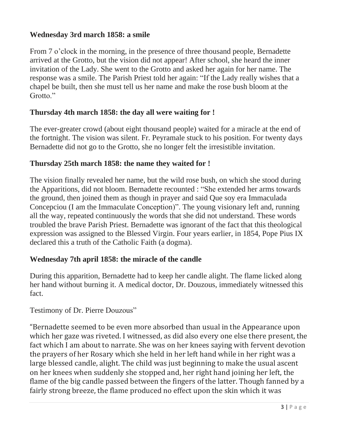# **Wednesday 3rd march 1858: a smile**

From 7 o'clock in the morning, in the presence of three thousand people, Bernadette arrived at the Grotto, but the vision did not appear! After school, she heard the inner invitation of the Lady. She went to the Grotto and asked her again for her name. The response was a smile. The Parish Priest told her again: "If the Lady really wishes that a chapel be built, then she must tell us her name and make the rose bush bloom at the Grotto."

### **Thursday 4th march 1858: the day all were waiting for !**

The ever-greater crowd (about eight thousand people) waited for a miracle at the end of the fortnight. The vision was silent. Fr. Peyramale stuck to his position. For twenty days Bernadette did not go to the Grotto, she no longer felt the irresistible invitation.

### **Thursday 25th march 1858: the name they waited for !**

The vision finally revealed her name, but the wild rose bush, on which she stood during the Apparitions, did not bloom. Bernadette recounted : "She extended her arms towards the ground, then joined them as though in prayer and said Que soy era Immaculada Concepciou (I am the Immaculate Conception)". The young visionary left and, running all the way, repeated continuously the words that she did not understand. These words troubled the brave Parish Priest. Bernadette was ignorant of the fact that this theological expression was assigned to the Blessed Virgin. Four years earlier, in 1854, Pope Pius IX declared this a truth of the Catholic Faith (a dogma).

## **Wednesday 7th april 1858: the miracle of the candle**

During this apparition, Bernadette had to keep her candle alight. The flame licked along her hand without burning it. A medical doctor, Dr. Douzous, immediately witnessed this fact.

### Testimony of Dr. Pierre Douzous"

"Bernadette seemed to be even more absorbed than usual in the Appearance upon which her gaze was riveted. I witnessed, as did also every one else there present, the fact which I am about to narrate. She was on her knees saying with fervent devotion the prayers of her Rosary which she held in her left hand while in her right was a large blessed candle, alight. The child was just beginning to make the usual ascent on her knees when suddenly she stopped and, her right hand joining her left, the flame of the big candle passed between the fingers of the latter. Though fanned by a fairly strong breeze, the flame produced no effect upon the skin which it was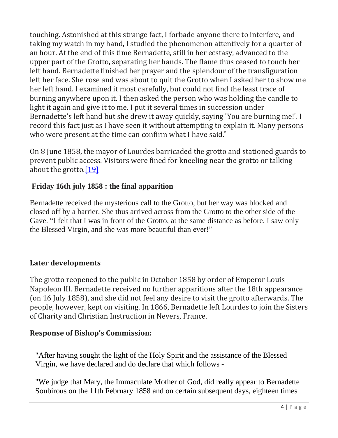touching. Astonished at this strange fact, I forbade anyone there to interfere, and taking my watch in my hand, I studied the phenomenon attentively for a quarter of an hour. At the end of this time Bernadette, still in her ecstasy, advanced to the upper part of the Grotto, separating her hands. The flame thus ceased to touch her left hand. Bernadette finished her prayer and the splendour of the transfiguration left her face. She rose and was about to quit the Grotto when I asked her to show me her left hand. I examined it most carefully, but could not find the least trace of burning anywhere upon it. I then asked the person who was holding the candle to light it again and give it to me. I put it several times in succession under Bernadette's left hand but she drew it away quickly, saying 'You are burning me!'. I record this fact just as I have seen it without attempting to explain it. Many persons who were present at the time can confirm what I have said."

On 8 June 1858, the mayor of Lourdes barricaded the grotto and stationed guards to prevent public access. Visitors were fined for kneeling near the grotto or talking about the grotto.<sup>[19]</sup>

# **Friday 16th july 1858 : the final apparition**

Bernadette received the mysterious call to the Grotto, but her way was blocked and closed off by a barrier. She thus arrived across from the Grotto to the other side of the Gave. "I felt that I was in front of the Grotto, at the same distance as before, I saw only the Blessed Virgin, and she was more beautiful than ever!"

## **Later developments**

The grotto reopened to the public in October 1858 by order of Emperor Louis Napoleon III. Bernadette received no further apparitions after the 18th appearance (on 16 July 1858), and she did not feel any desire to visit the grotto afterwards. The people, however, kept on visiting. In 1866, Bernadette left Lourdes to join the Sisters of Charity and Christian Instruction in Nevers, France.

## **Response of Bishop's Commission:**

"After having sought the light of the Holy Spirit and the assistance of the Blessed Virgin, we have declared and do declare that which follows -

"We judge that Mary, the Immaculate Mother of God, did really appear to Bernadette Soubirous on the 11th February 1858 and on certain subsequent days, eighteen times